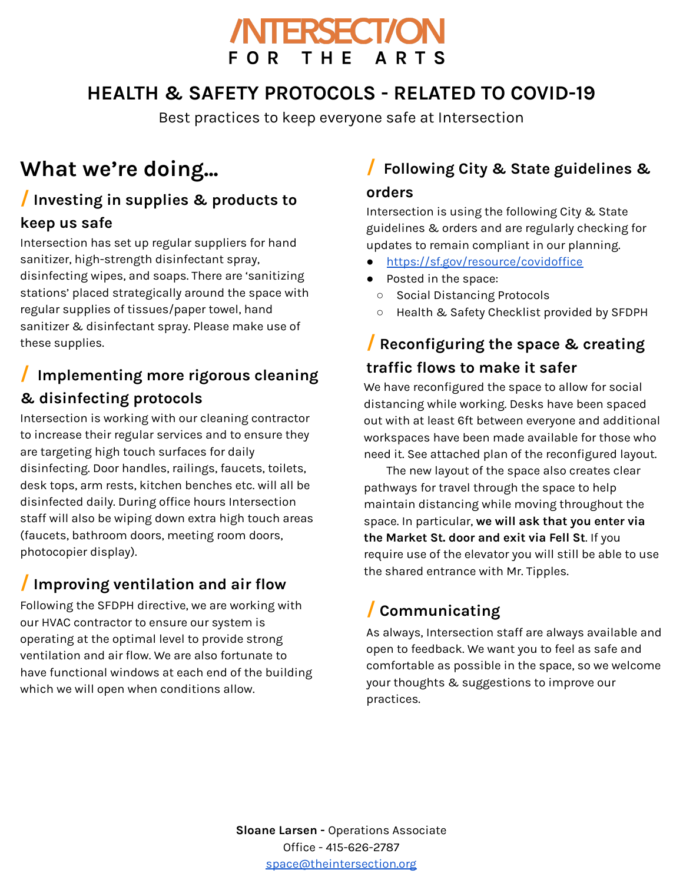

## **HEALTH & SAFETY PROTOCOLS - RELATED TO COVID-19**

Best practices to keep everyone safe at Intersection

# **What we're doing...**

# **/ Investing in supplies & products to**

#### **keep us safe**

Intersection has set up regular suppliers for hand sanitizer, high-strength disinfectant spray, disinfecting wipes, and soaps. There are 'sanitizing stations' placed strategically around the space with regular supplies of tissues/paper towel, hand sanitizer & disinfectant spray. Please make use of these supplies.

## **/ Implementing more rigorous cleaning & disinfecting protocols**

Intersection is working with our cleaning contractor to increase their regular services and to ensure they are targeting high touch surfaces for daily disinfecting. Door handles, railings, faucets, toilets, desk tops, arm rests, kitchen benches etc. will all be disinfected daily. During office hours Intersection staff will also be wiping down extra high touch areas (faucets, bathroom doors, meeting room doors, photocopier display).

#### **/ Improving ventilation and air flow**

Following the SFDPH directive, we are working with our HVAC contractor to ensure our system is operating at the optimal level to provide strong ventilation and air flow. We are also fortunate to have functional windows at each end of the building which we will open when conditions allow.

# **/ Following City & State guidelines &**

#### **orders**

Intersection is using the following City & State guidelines & orders and are regularly checking for updates to remain compliant in our planning.

- <https://sf.gov/resource/covidoffice>
- Posted in the space:
	- Social Distancing Protocols
	- Health & Safety Checklist provided by SFDPH

#### **/ Reconfiguring the space & creating traffic flows to make it safer**

We have reconfigured the space to allow for social distancing while working. Desks have been spaced out with at least 6ft between everyone and additional workspaces have been made available for those who need it. See attached plan of the reconfigured layout.

The new layout of the space also creates clear pathways for travel through the space to help maintain distancing while moving throughout the space. In particular, **we will ask that you enter via the Market St. door and exit via Fell St**. If you require use of the elevator you will still be able to use the shared entrance with Mr. Tipples.

### **/ Communicating**

As always, Intersection staff are always available and open to feedback. We want you to feel as safe and comfortable as possible in the space, so we welcome your thoughts & suggestions to improve our practices.

**Sloane Larsen -** Operations Associate Office - 415-626-2787 [space@theintersection.org](mailto:daniel@theintersection.org)